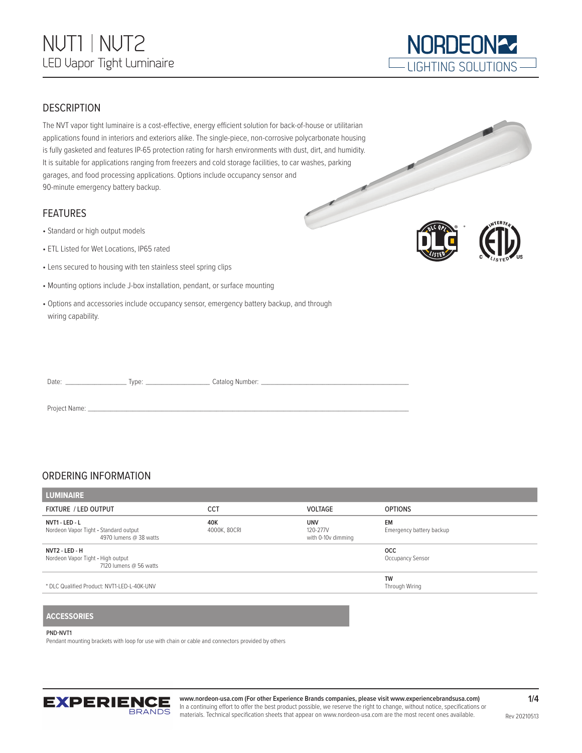

#### **DESCRIPTION**

The NVT vapor tight luminaire is a cost-effective, energy efficient solution for back-of-house or utilitarian applications found in interiors and exteriors alike. The single-piece, non-corrosive polycarbonate housing is fully gasketed and features IP-65 protection rating for harsh environments with dust, dirt, and humidity. It is suitable for applications ranging from freezers and cold storage facilities, to car washes, parking garages, and food processing applications. Options include occupancy sensor and 90-minute emergency battery backup.

#### FEATURES

- Standard or high output models
- ETL Listed for Wet Locations, IP65 rated
- Lens secured to housing with ten stainless steel spring clips
- Mounting options include J-box installation, pendant, or surface mounting
- Options and accessories include occupancy sensor, emergency battery backup, and through wiring capability.



\*

| Date: | 'vne: | Catalog Number: |
|-------|-------|-----------------|
|       |       |                 |

Project Name:

#### ORDERING INFORMATION

| <b>LUMINAIRE</b>                                                                  |                     |                                              |                                       |  |
|-----------------------------------------------------------------------------------|---------------------|----------------------------------------------|---------------------------------------|--|
| <b>FIXTURE / LED OUTPUT</b>                                                       | <b>CCT</b>          | <b>VOLTAGE</b>                               | <b>OPTIONS</b>                        |  |
| NVT1 - LED - L<br>Nordeon Vapor Tight - Standard output<br>4970 lumens @ 38 watts | 40K<br>4000K, 80CRI | <b>UNV</b><br>120-277V<br>with 0-10v dimming | <b>EM</b><br>Emergency battery backup |  |
| NVT2 - LED - H<br>Nordeon Vapor Tight - High output<br>7120 lumens @ 56 watts     |                     |                                              | <b>OCC</b><br>Occupancy Sensor        |  |
| * DLC Qualified Product: NVT1-LED-L-40K-UNV                                       |                     |                                              | TW<br>Through Wiring                  |  |
|                                                                                   |                     |                                              |                                       |  |

#### **ACCESSORIES**

#### PND-NVT1

Pendant mounting brackets with loop for use with chain or cable and connectors provided by others



**www.nordeon-usa.com (For other Experience Brands companies, please visit www.experiencebrandsusa.com)** In a continuing effort to offer the best product possible, we reserve the right to change, without notice, specifications or materials. Technical specification sheets that appear on www.nordeon-usa.com are the most recent ones available.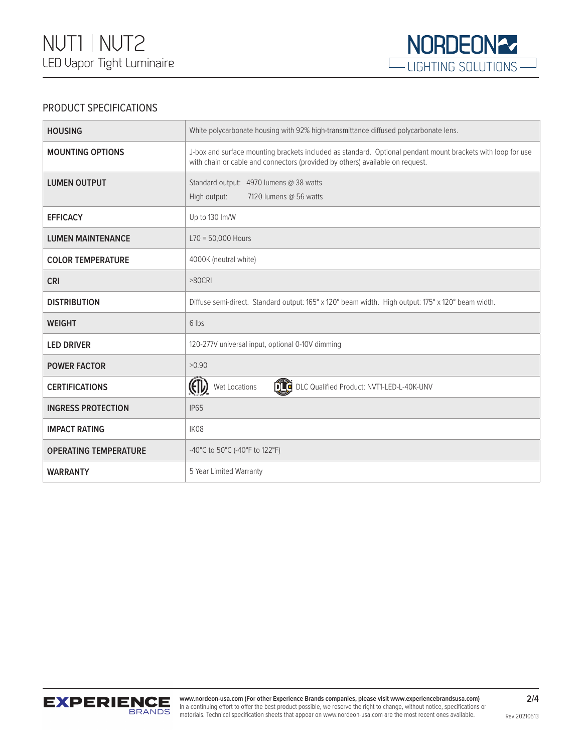

### PRODUCT SPECIFICATIONS

| <b>HOUSING</b>               | White polycarbonate housing with 92% high-transmittance diffused polycarbonate lens.                                                                                                         |  |
|------------------------------|----------------------------------------------------------------------------------------------------------------------------------------------------------------------------------------------|--|
| <b>MOUNTING OPTIONS</b>      | J-box and surface mounting brackets included as standard. Optional pendant mount brackets with loop for use<br>with chain or cable and connectors (provided by others) available on request. |  |
| <b>LUMEN OUTPUT</b>          | Standard output: 4970 lumens @ 38 watts<br>High output:<br>7120 lumens @ 56 watts                                                                                                            |  |
| <b>EFFICACY</b>              | Up to 130 lm/W                                                                                                                                                                               |  |
| <b>LUMEN MAINTENANCE</b>     | $L70 = 50,000$ Hours                                                                                                                                                                         |  |
| <b>COLOR TEMPERATURE</b>     | 4000K (neutral white)                                                                                                                                                                        |  |
| <b>CRI</b>                   | $>80$ CRI                                                                                                                                                                                    |  |
| <b>DISTRIBUTION</b>          | Diffuse semi-direct. Standard output: 165° x 120° beam width. High output: 175° x 120° beam width.                                                                                           |  |
| <b>WEIGHT</b>                | 6 lbs                                                                                                                                                                                        |  |
| <b>LED DRIVER</b>            | 120-277V universal input, optional 0-10V dimming                                                                                                                                             |  |
| <b>POWER FACTOR</b>          | >0.90                                                                                                                                                                                        |  |
| <b>CERTIFICATIONS</b>        | (FD)<br>DLC Qualified Product: NVT1-LED-L-40K-UNV<br>Wet Locations                                                                                                                           |  |
| <b>INGRESS PROTECTION</b>    | <b>IP65</b>                                                                                                                                                                                  |  |
| <b>IMPACT RATING</b>         | IK08                                                                                                                                                                                         |  |
| <b>OPERATING TEMPERATURE</b> | -40°C to 50°C (-40°F to 122°F)                                                                                                                                                               |  |
| <b>WARRANTY</b>              | 5 Year Limited Warranty                                                                                                                                                                      |  |

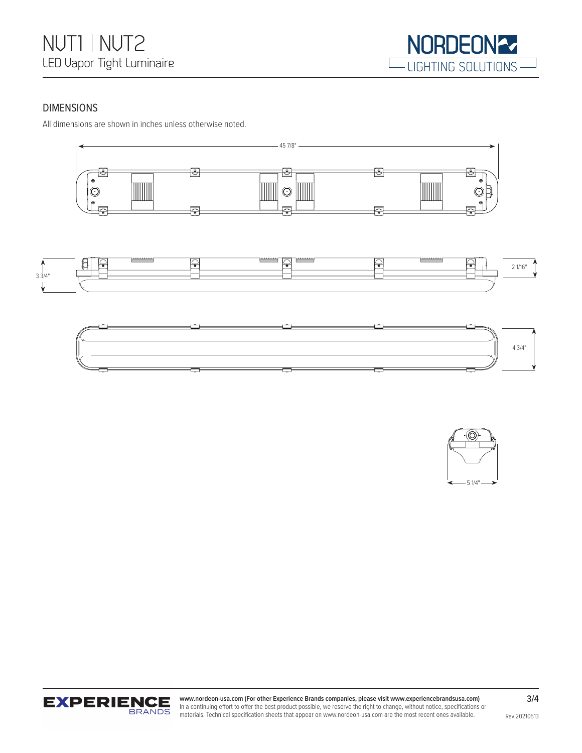

#### DIMENSIONS

All dimensions are shown in inches unless otherwise noted.











**www.nordeon-usa.com (For other Experience Brands companies, please visit www.experiencebrandsusa.com)** In a continuing effort to offer the best product possible, we reserve the right to change, without notice, specifications or materials. Technical specification sheets that appear on www.nordeon-usa.com are the most recent ones available.